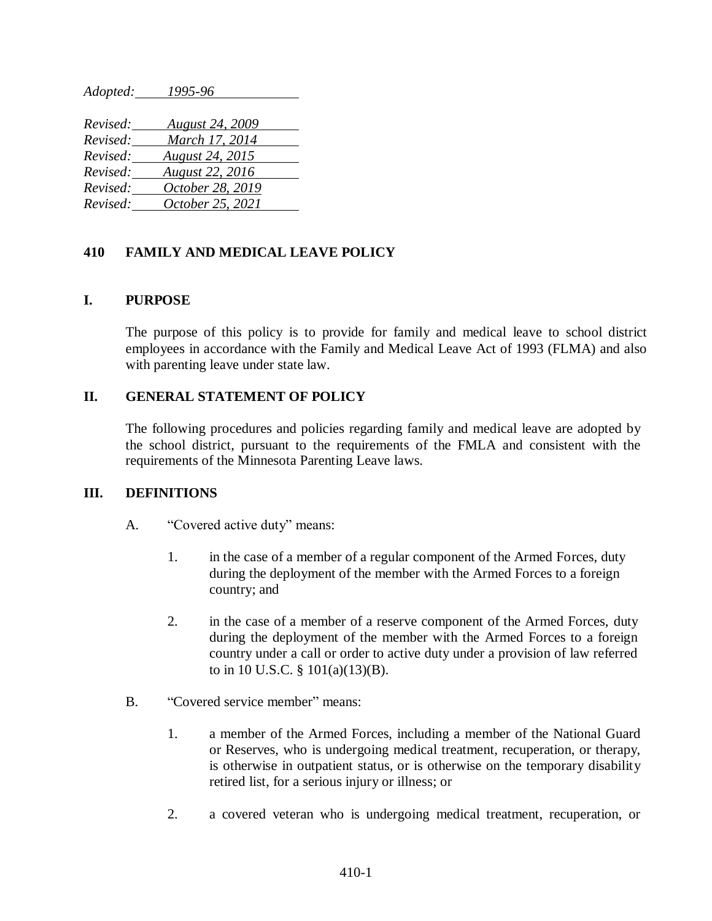*Adopted: 1995-96* 

| Revised: | <b>August 24, 2009</b> |
|----------|------------------------|
| Revised: | March 17, 2014         |
| Revised: | <b>August 24, 2015</b> |
| Revised: | <b>August 22, 2016</b> |
| Revised: | October 28, 2019       |
| Revised: | October 25, 2021       |

### **410 FAMILY AND MEDICAL LEAVE POLICY**

#### **I. PURPOSE**

The purpose of this policy is to provide for family and medical leave to school district employees in accordance with the Family and Medical Leave Act of 1993 (FLMA) and also with parenting leave under state law.

#### **II. GENERAL STATEMENT OF POLICY**

The following procedures and policies regarding family and medical leave are adopted by the school district, pursuant to the requirements of the FMLA and consistent with the requirements of the Minnesota Parenting Leave laws.

#### **III. DEFINITIONS**

- A. "Covered active duty" means:
	- 1. in the case of a member of a regular component of the Armed Forces, duty during the deployment of the member with the Armed Forces to a foreign country; and
	- 2. in the case of a member of a reserve component of the Armed Forces, duty during the deployment of the member with the Armed Forces to a foreign country under a call or order to active duty under a provision of law referred to in 10 U.S.C. § 101(a)(13)(B).
- B. "Covered service member" means:
	- 1. a member of the Armed Forces, including a member of the National Guard or Reserves, who is undergoing medical treatment, recuperation, or therapy, is otherwise in outpatient status, or is otherwise on the temporary disability retired list, for a serious injury or illness; or
	- 2. a covered veteran who is undergoing medical treatment, recuperation, or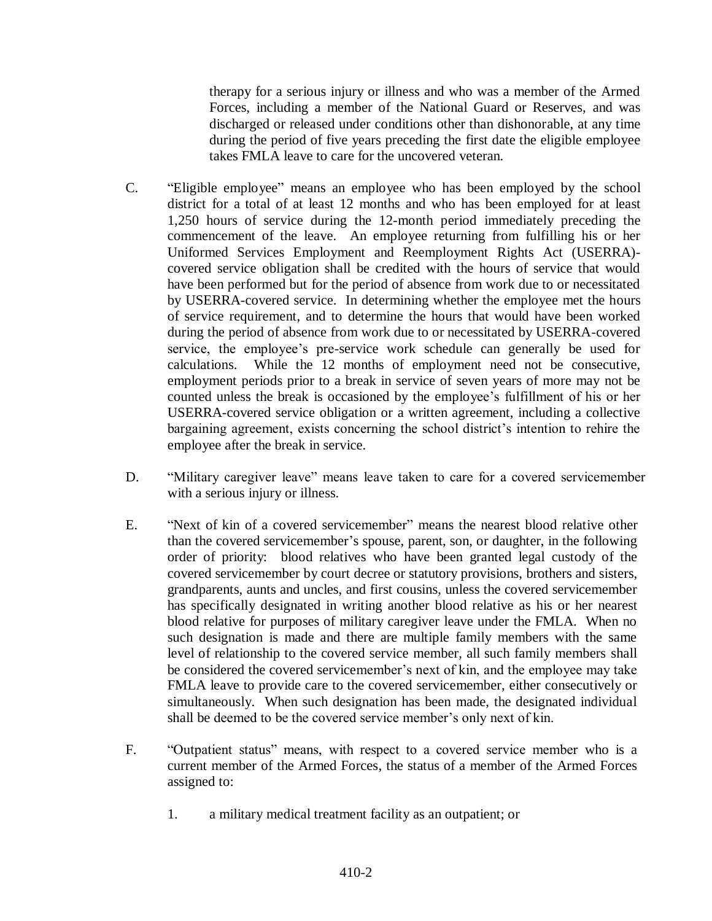therapy for a serious injury or illness and who was a member of the Armed Forces, including a member of the National Guard or Reserves, and was discharged or released under conditions other than dishonorable, at any time during the period of five years preceding the first date the eligible employee takes FMLA leave to care for the uncovered veteran.

- C. "Eligible employee" means an employee who has been employed by the school district for a total of at least 12 months and who has been employed for at least 1,250 hours of service during the 12-month period immediately preceding the commencement of the leave. An employee returning from fulfilling his or her Uniformed Services Employment and Reemployment Rights Act (USERRA) covered service obligation shall be credited with the hours of service that would have been performed but for the period of absence from work due to or necessitated by USERRA-covered service. In determining whether the employee met the hours of service requirement, and to determine the hours that would have been worked during the period of absence from work due to or necessitated by USERRA-covered service, the employee's pre-service work schedule can generally be used for calculations. While the 12 months of employment need not be consecutive, employment periods prior to a break in service of seven years of more may not be counted unless the break is occasioned by the employee's fulfillment of his or her USERRA-covered service obligation or a written agreement, including a collective bargaining agreement, exists concerning the school district's intention to rehire the employee after the break in service.
- D. "Military caregiver leave" means leave taken to care for a covered servicemember with a serious injury or illness.
- E. "Next of kin of a covered servicemember" means the nearest blood relative other than the covered servicemember's spouse, parent, son, or daughter, in the following order of priority: blood relatives who have been granted legal custody of the covered servicemember by court decree or statutory provisions, brothers and sisters, grandparents, aunts and uncles, and first cousins, unless the covered servicemember has specifically designated in writing another blood relative as his or her nearest blood relative for purposes of military caregiver leave under the FMLA. When no such designation is made and there are multiple family members with the same level of relationship to the covered service member, all such family members shall be considered the covered servicemember's next of kin, and the employee may take FMLA leave to provide care to the covered servicemember, either consecutively or simultaneously. When such designation has been made, the designated individual shall be deemed to be the covered service member's only next of kin.
- F. "Outpatient status" means, with respect to a covered service member who is a current member of the Armed Forces, the status of a member of the Armed Forces assigned to:
	- 1. a military medical treatment facility as an outpatient; or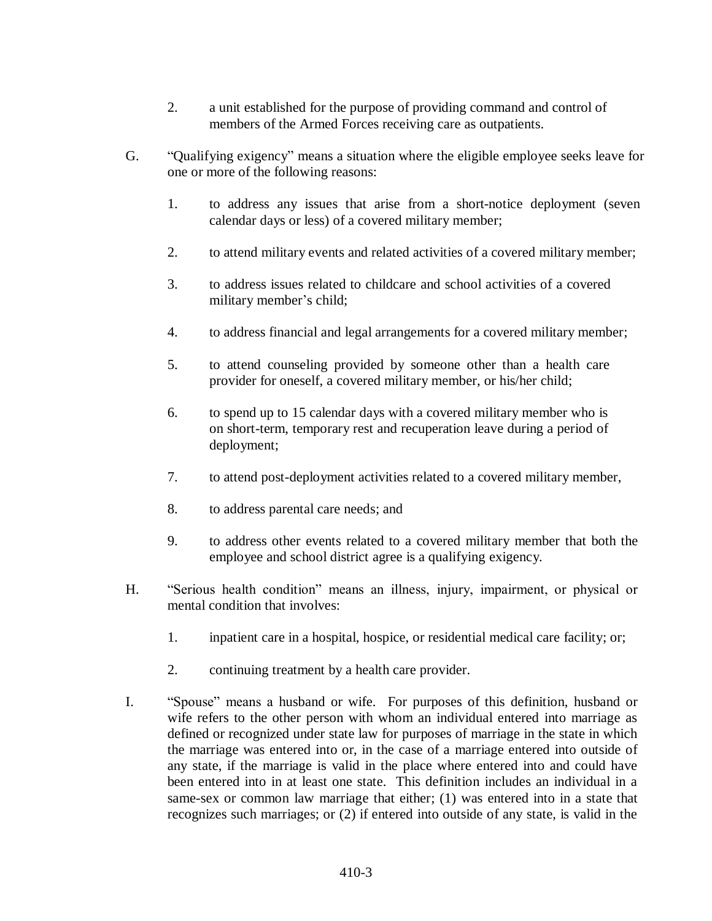- 2. a unit established for the purpose of providing command and control of members of the Armed Forces receiving care as outpatients.
- G. "Qualifying exigency" means a situation where the eligible employee seeks leave for one or more of the following reasons:
	- 1. to address any issues that arise from a short-notice deployment (seven calendar days or less) of a covered military member;
	- 2. to attend military events and related activities of a covered military member;
	- 3. to address issues related to childcare and school activities of a covered military member's child;
	- 4. to address financial and legal arrangements for a covered military member;
	- 5. to attend counseling provided by someone other than a health care provider for oneself, a covered military member, or his/her child;
	- 6. to spend up to 15 calendar days with a covered military member who is on short-term, temporary rest and recuperation leave during a period of deployment;
	- 7. to attend post-deployment activities related to a covered military member,
	- 8. to address parental care needs; and
	- 9. to address other events related to a covered military member that both the employee and school district agree is a qualifying exigency.
- H. "Serious health condition" means an illness, injury, impairment, or physical or mental condition that involves:
	- 1. inpatient care in a hospital, hospice, or residential medical care facility; or;
	- 2. continuing treatment by a health care provider.
- I. "Spouse" means a husband or wife. For purposes of this definition, husband or wife refers to the other person with whom an individual entered into marriage as defined or recognized under state law for purposes of marriage in the state in which the marriage was entered into or, in the case of a marriage entered into outside of any state, if the marriage is valid in the place where entered into and could have been entered into in at least one state. This definition includes an individual in a same-sex or common law marriage that either; (1) was entered into in a state that recognizes such marriages; or (2) if entered into outside of any state, is valid in the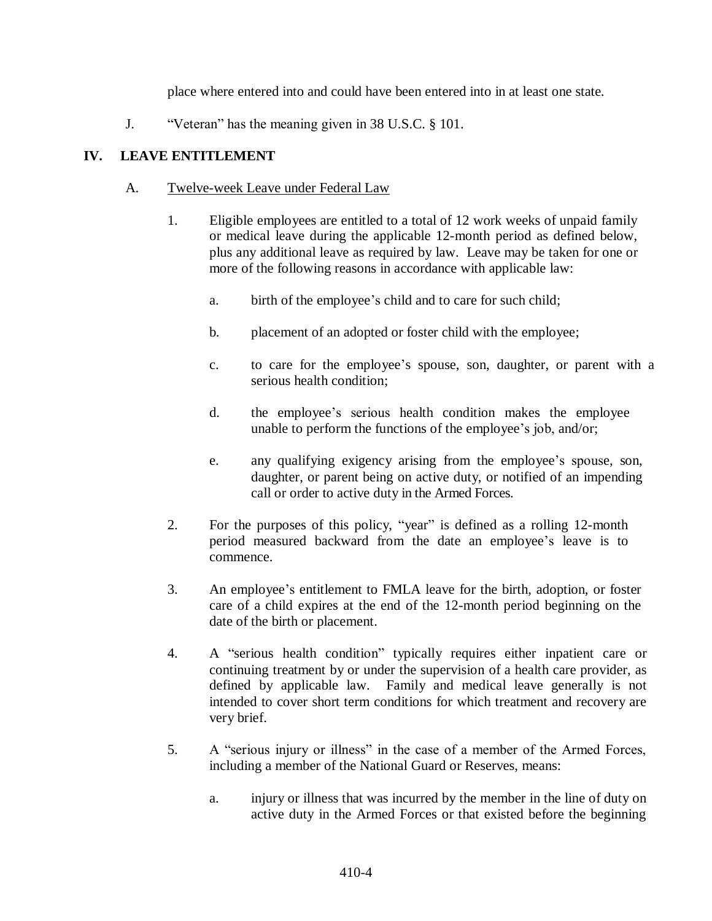place where entered into and could have been entered into in at least one state.

J. "Veteran" has the meaning given in 38 U.S.C. § 101.

# **IV. LEAVE ENTITLEMENT**

## A. Twelve-week Leave under Federal Law

- 1. Eligible employees are entitled to a total of 12 work weeks of unpaid family or medical leave during the applicable 12-month period as defined below, plus any additional leave as required by law. Leave may be taken for one or more of the following reasons in accordance with applicable law:
	- a. birth of the employee's child and to care for such child;
	- b. placement of an adopted or foster child with the employee;
	- c. to care for the employee's spouse, son, daughter, or parent with a serious health condition;
	- d. the employee's serious health condition makes the employee unable to perform the functions of the employee's job, and/or;
	- e. any qualifying exigency arising from the employee's spouse, son, daughter, or parent being on active duty, or notified of an impending call or order to active duty in the Armed Forces.
- 2. For the purposes of this policy, "year" is defined as a rolling 12-month period measured backward from the date an employee's leave is to commence.
- 3. An employee's entitlement to FMLA leave for the birth, adoption, or foster care of a child expires at the end of the 12-month period beginning on the date of the birth or placement.
- 4. A "serious health condition" typically requires either inpatient care or continuing treatment by or under the supervision of a health care provider, as defined by applicable law. Family and medical leave generally is not intended to cover short term conditions for which treatment and recovery are very brief.
- 5. A "serious injury or illness" in the case of a member of the Armed Forces, including a member of the National Guard or Reserves, means:
	- a. injury or illness that was incurred by the member in the line of duty on active duty in the Armed Forces or that existed before the beginning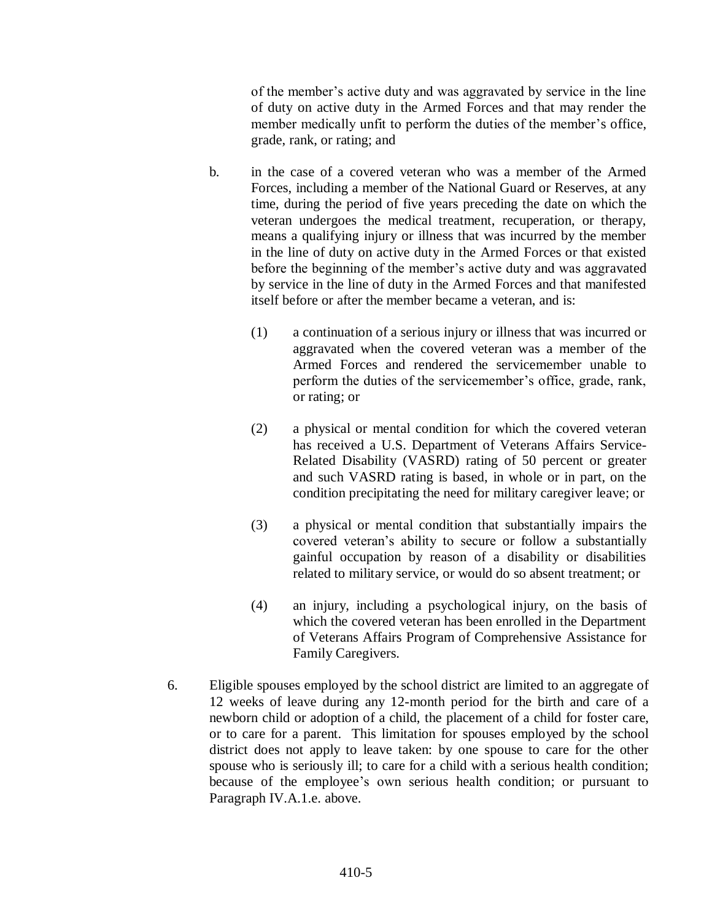of the member's active duty and was aggravated by service in the line of duty on active duty in the Armed Forces and that may render the member medically unfit to perform the duties of the member's office, grade, rank, or rating; and

- b. in the case of a covered veteran who was a member of the Armed Forces, including a member of the National Guard or Reserves, at any time, during the period of five years preceding the date on which the veteran undergoes the medical treatment, recuperation, or therapy, means a qualifying injury or illness that was incurred by the member in the line of duty on active duty in the Armed Forces or that existed before the beginning of the member's active duty and was aggravated by service in the line of duty in the Armed Forces and that manifested itself before or after the member became a veteran, and is:
	- (1) a continuation of a serious injury or illness that was incurred or aggravated when the covered veteran was a member of the Armed Forces and rendered the servicemember unable to perform the duties of the servicemember's office, grade, rank, or rating; or
	- (2) a physical or mental condition for which the covered veteran has received a U.S. Department of Veterans Affairs Service-Related Disability (VASRD) rating of 50 percent or greater and such VASRD rating is based, in whole or in part, on the condition precipitating the need for military caregiver leave; or
	- (3) a physical or mental condition that substantially impairs the covered veteran's ability to secure or follow a substantially gainful occupation by reason of a disability or disabilities related to military service, or would do so absent treatment; or
	- (4) an injury, including a psychological injury, on the basis of which the covered veteran has been enrolled in the Department of Veterans Affairs Program of Comprehensive Assistance for Family Caregivers.
- 6. Eligible spouses employed by the school district are limited to an aggregate of 12 weeks of leave during any 12-month period for the birth and care of a newborn child or adoption of a child, the placement of a child for foster care, or to care for a parent. This limitation for spouses employed by the school district does not apply to leave taken: by one spouse to care for the other spouse who is seriously ill; to care for a child with a serious health condition; because of the employee's own serious health condition; or pursuant to Paragraph IV.A.1.e. above.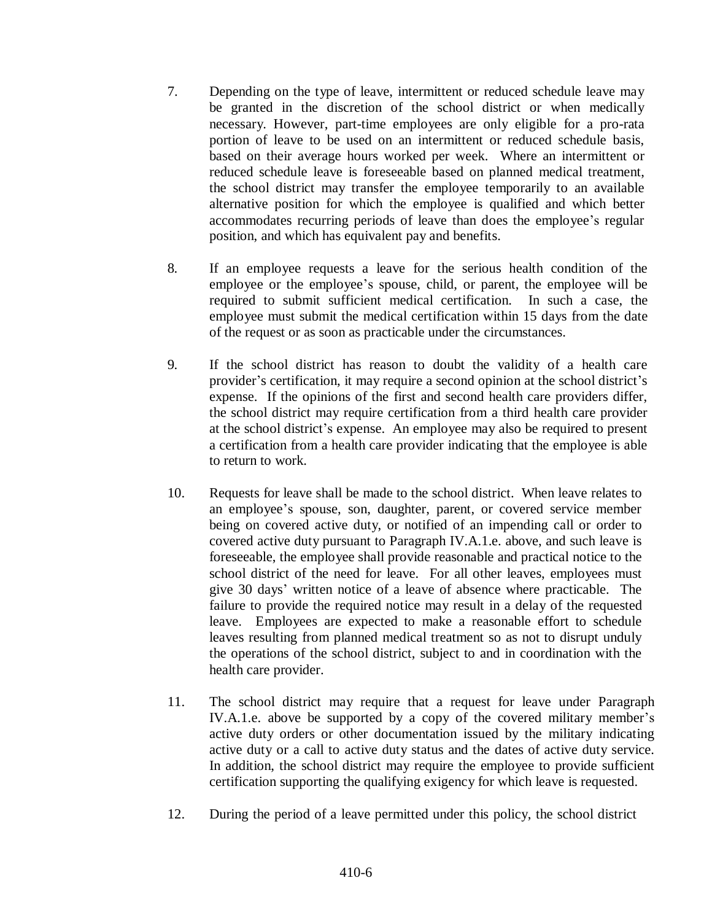- 7. Depending on the type of leave, intermittent or reduced schedule leave may be granted in the discretion of the school district or when medically necessary. However, part-time employees are only eligible for a pro-rata portion of leave to be used on an intermittent or reduced schedule basis, based on their average hours worked per week. Where an intermittent or reduced schedule leave is foreseeable based on planned medical treatment, the school district may transfer the employee temporarily to an available alternative position for which the employee is qualified and which better accommodates recurring periods of leave than does the employee's regular position, and which has equivalent pay and benefits.
- 8. If an employee requests a leave for the serious health condition of the employee or the employee's spouse, child, or parent, the employee will be required to submit sufficient medical certification. In such a case, the employee must submit the medical certification within 15 days from the date of the request or as soon as practicable under the circumstances.
- 9. If the school district has reason to doubt the validity of a health care provider's certification, it may require a second opinion at the school district's expense. If the opinions of the first and second health care providers differ, the school district may require certification from a third health care provider at the school district's expense. An employee may also be required to present a certification from a health care provider indicating that the employee is able to return to work.
- 10. Requests for leave shall be made to the school district. When leave relates to an employee's spouse, son, daughter, parent, or covered service member being on covered active duty, or notified of an impending call or order to covered active duty pursuant to Paragraph IV.A.1.e. above, and such leave is foreseeable, the employee shall provide reasonable and practical notice to the school district of the need for leave. For all other leaves, employees must give 30 days' written notice of a leave of absence where practicable. The failure to provide the required notice may result in a delay of the requested leave. Employees are expected to make a reasonable effort to schedule leaves resulting from planned medical treatment so as not to disrupt unduly the operations of the school district, subject to and in coordination with the health care provider.
- 11. The school district may require that a request for leave under Paragraph IV.A.1.e. above be supported by a copy of the covered military member's active duty orders or other documentation issued by the military indicating active duty or a call to active duty status and the dates of active duty service. In addition, the school district may require the employee to provide sufficient certification supporting the qualifying exigency for which leave is requested.
- 12. During the period of a leave permitted under this policy, the school district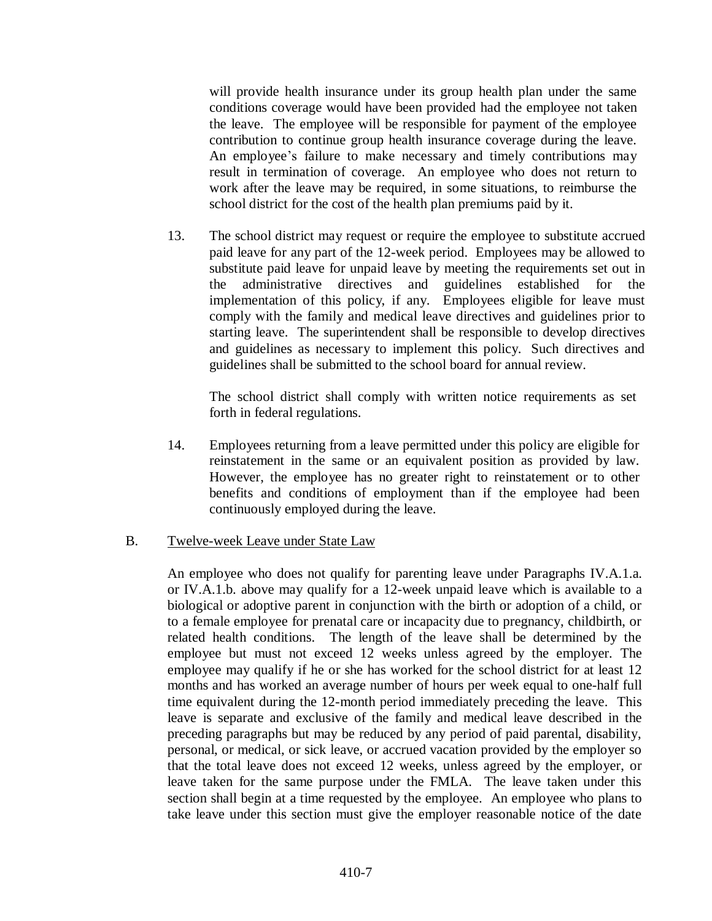will provide health insurance under its group health plan under the same conditions coverage would have been provided had the employee not taken the leave. The employee will be responsible for payment of the employee contribution to continue group health insurance coverage during the leave. An employee's failure to make necessary and timely contributions may result in termination of coverage. An employee who does not return to work after the leave may be required, in some situations, to reimburse the school district for the cost of the health plan premiums paid by it.

13. The school district may request or require the employee to substitute accrued paid leave for any part of the 12-week period. Employees may be allowed to substitute paid leave for unpaid leave by meeting the requirements set out in the administrative directives and guidelines established for the implementation of this policy, if any. Employees eligible for leave must comply with the family and medical leave directives and guidelines prior to starting leave. The superintendent shall be responsible to develop directives and guidelines as necessary to implement this policy. Such directives and guidelines shall be submitted to the school board for annual review.

The school district shall comply with written notice requirements as set forth in federal regulations.

14. Employees returning from a leave permitted under this policy are eligible for reinstatement in the same or an equivalent position as provided by law. However, the employee has no greater right to reinstatement or to other benefits and conditions of employment than if the employee had been continuously employed during the leave.

### B. Twelve-week Leave under State Law

An employee who does not qualify for parenting leave under Paragraphs IV.A.1.a. or IV.A.1.b. above may qualify for a 12-week unpaid leave which is available to a biological or adoptive parent in conjunction with the birth or adoption of a child, or to a female employee for prenatal care or incapacity due to pregnancy, childbirth, or related health conditions. The length of the leave shall be determined by the employee but must not exceed 12 weeks unless agreed by the employer. The employee may qualify if he or she has worked for the school district for at least 12 months and has worked an average number of hours per week equal to one-half full time equivalent during the 12-month period immediately preceding the leave. This leave is separate and exclusive of the family and medical leave described in the preceding paragraphs but may be reduced by any period of paid parental, disability, personal, or medical, or sick leave, or accrued vacation provided by the employer so that the total leave does not exceed 12 weeks, unless agreed by the employer, or leave taken for the same purpose under the FMLA. The leave taken under this section shall begin at a time requested by the employee. An employee who plans to take leave under this section must give the employer reasonable notice of the date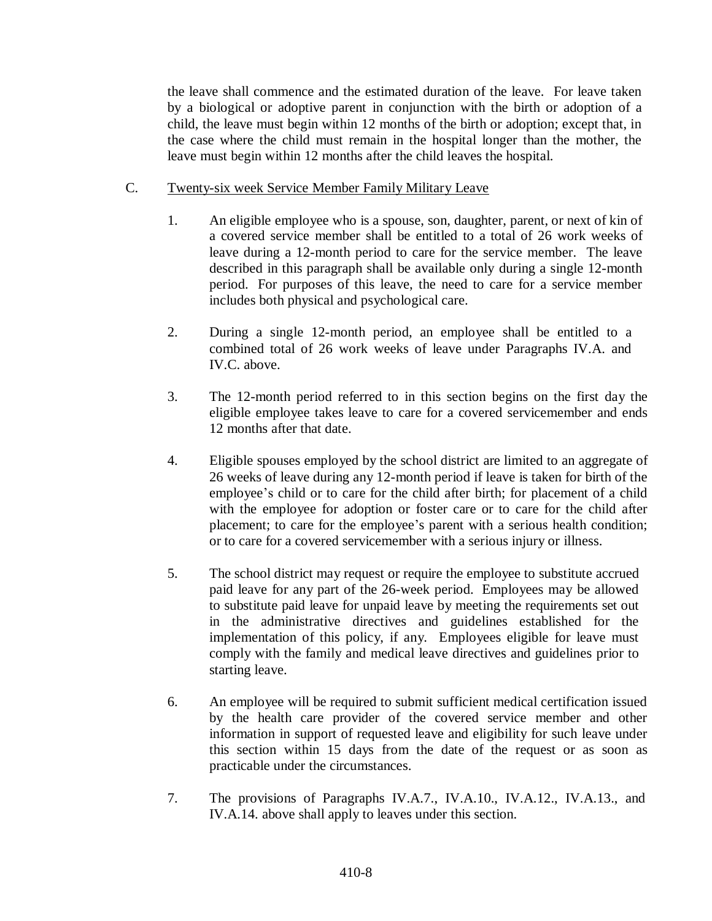the leave shall commence and the estimated duration of the leave. For leave taken by a biological or adoptive parent in conjunction with the birth or adoption of a child, the leave must begin within 12 months of the birth or adoption; except that, in the case where the child must remain in the hospital longer than the mother, the leave must begin within 12 months after the child leaves the hospital.

# C. Twenty-six week Service Member Family Military Leave

- 1. An eligible employee who is a spouse, son, daughter, parent, or next of kin of a covered service member shall be entitled to a total of 26 work weeks of leave during a 12-month period to care for the service member. The leave described in this paragraph shall be available only during a single 12-month period. For purposes of this leave, the need to care for a service member includes both physical and psychological care.
- 2. During a single 12-month period, an employee shall be entitled to a combined total of 26 work weeks of leave under Paragraphs IV.A. and IV.C. above.
- 3. The 12-month period referred to in this section begins on the first day the eligible employee takes leave to care for a covered servicemember and ends 12 months after that date.
- 4. Eligible spouses employed by the school district are limited to an aggregate of 26 weeks of leave during any 12-month period if leave is taken for birth of the employee's child or to care for the child after birth; for placement of a child with the employee for adoption or foster care or to care for the child after placement; to care for the employee's parent with a serious health condition; or to care for a covered servicemember with a serious injury or illness.
- 5. The school district may request or require the employee to substitute accrued paid leave for any part of the 26-week period. Employees may be allowed to substitute paid leave for unpaid leave by meeting the requirements set out in the administrative directives and guidelines established for the implementation of this policy, if any. Employees eligible for leave must comply with the family and medical leave directives and guidelines prior to starting leave.
- 6. An employee will be required to submit sufficient medical certification issued by the health care provider of the covered service member and other information in support of requested leave and eligibility for such leave under this section within 15 days from the date of the request or as soon as practicable under the circumstances.
- 7. The provisions of Paragraphs IV.A.7., IV.A.10., IV.A.12., IV.A.13., and IV.A.14. above shall apply to leaves under this section.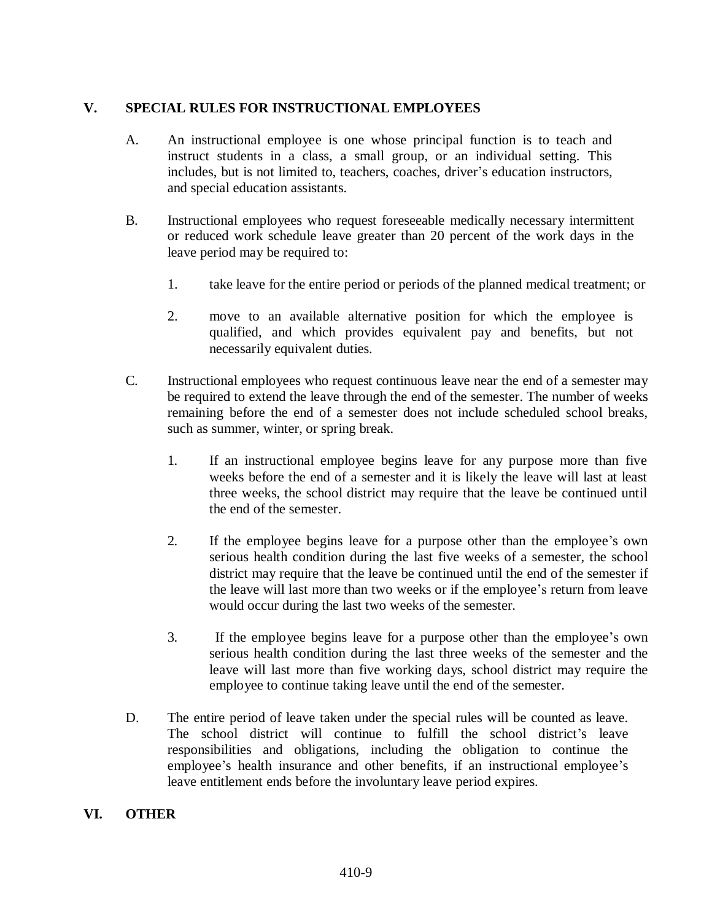## **V. SPECIAL RULES FOR INSTRUCTIONAL EMPLOYEES**

- A. An instructional employee is one whose principal function is to teach and instruct students in a class, a small group, or an individual setting. This includes, but is not limited to, teachers, coaches, driver's education instructors, and special education assistants.
- B. Instructional employees who request foreseeable medically necessary intermittent or reduced work schedule leave greater than 20 percent of the work days in the leave period may be required to:
	- 1. take leave for the entire period or periods of the planned medical treatment; or
	- 2. move to an available alternative position for which the employee is qualified, and which provides equivalent pay and benefits, but not necessarily equivalent duties.
- C. Instructional employees who request continuous leave near the end of a semester may be required to extend the leave through the end of the semester. The number of weeks remaining before the end of a semester does not include scheduled school breaks, such as summer, winter, or spring break.
	- 1. If an instructional employee begins leave for any purpose more than five weeks before the end of a semester and it is likely the leave will last at least three weeks, the school district may require that the leave be continued until the end of the semester.
	- 2. If the employee begins leave for a purpose other than the employee's own serious health condition during the last five weeks of a semester, the school district may require that the leave be continued until the end of the semester if the leave will last more than two weeks or if the employee's return from leave would occur during the last two weeks of the semester.
	- 3. If the employee begins leave for a purpose other than the employee's own serious health condition during the last three weeks of the semester and the leave will last more than five working days, school district may require the employee to continue taking leave until the end of the semester.
- D. The entire period of leave taken under the special rules will be counted as leave. The school district will continue to fulfill the school district's leave responsibilities and obligations, including the obligation to continue the employee's health insurance and other benefits, if an instructional employee's leave entitlement ends before the involuntary leave period expires.

### **VI. OTHER**